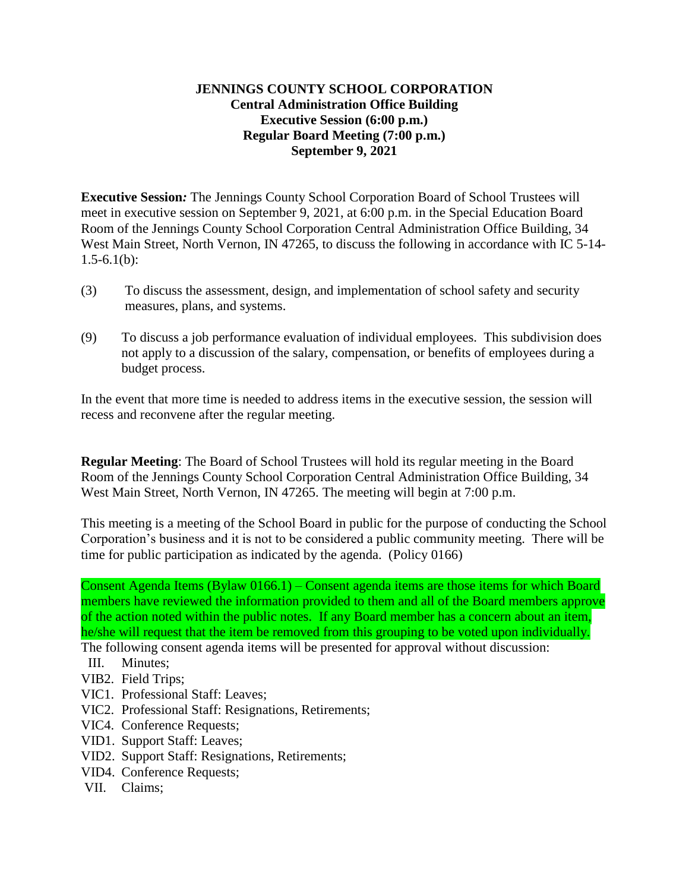## **JENNINGS COUNTY SCHOOL CORPORATION Central Administration Office Building Executive Session (6:00 p.m.) Regular Board Meeting (7:00 p.m.) September 9, 2021**

**Executive Session***:* The Jennings County School Corporation Board of School Trustees will meet in executive session on September 9, 2021, at 6:00 p.m. in the Special Education Board Room of the Jennings County School Corporation Central Administration Office Building, 34 West Main Street, North Vernon, IN 47265, to discuss the following in accordance with IC 5-14- $1.5 - 6.1(b)$ :

- (3) To discuss the assessment, design, and implementation of school safety and security measures, plans, and systems.
- (9) To discuss a job performance evaluation of individual employees. This subdivision does not apply to a discussion of the salary, compensation, or benefits of employees during a budget process.

In the event that more time is needed to address items in the executive session, the session will recess and reconvene after the regular meeting.

**Regular Meeting**: The Board of School Trustees will hold its regular meeting in the Board Room of the Jennings County School Corporation Central Administration Office Building, 34 West Main Street, North Vernon, IN 47265. The meeting will begin at 7:00 p.m.

This meeting is a meeting of the School Board in public for the purpose of conducting the School Corporation's business and it is not to be considered a public community meeting. There will be time for public participation as indicated by the agenda. (Policy 0166)

Consent Agenda Items (Bylaw 0166.1) – Consent agenda items are those items for which Board members have reviewed the information provided to them and all of the Board members approve of the action noted within the public notes. If any Board member has a concern about an item, he/she will request that the item be removed from this grouping to be voted upon individually.

- The following consent agenda items will be presented for approval without discussion:
- III. Minutes;
- VIB2. Field Trips;
- VIC1. Professional Staff: Leaves;
- VIC2. Professional Staff: Resignations, Retirements;
- VIC4. Conference Requests;
- VID1. Support Staff: Leaves;
- VID2. Support Staff: Resignations, Retirements;
- VID4. Conference Requests;
- VII. Claims;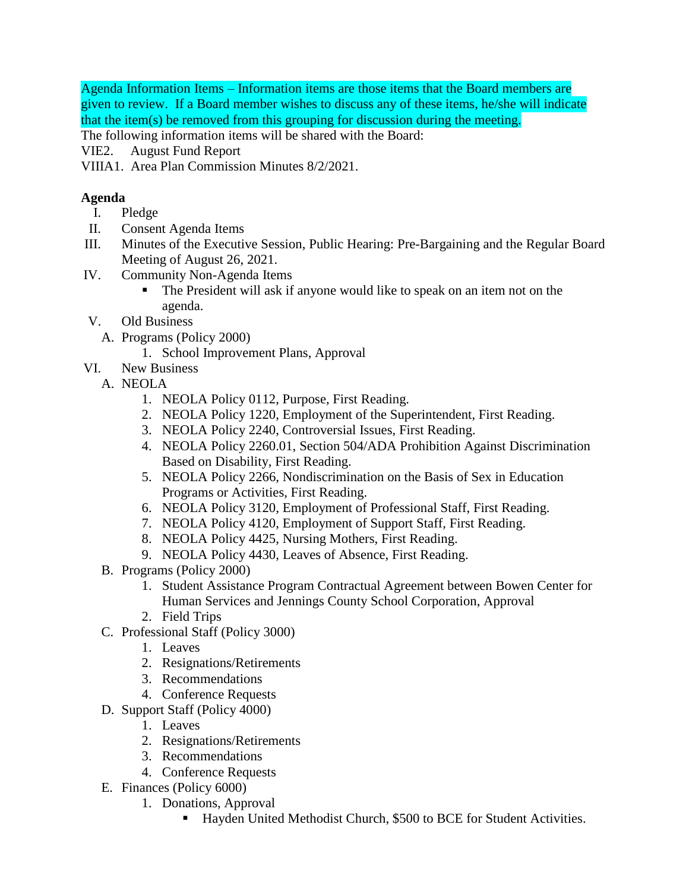Agenda Information Items – Information items are those items that the Board members are given to review. If a Board member wishes to discuss any of these items, he/she will indicate that the item(s) be removed from this grouping for discussion during the meeting.

The following information items will be shared with the Board:

- VIE2. August Fund Report
- VIIIA1. Area Plan Commission Minutes 8/2/2021.

## **Agenda**

- I. Pledge
- II. Consent Agenda Items
- III. Minutes of the Executive Session, Public Hearing: Pre-Bargaining and the Regular Board Meeting of August 26, 2021.
- IV. Community Non-Agenda Items
	- The President will ask if anyone would like to speak on an item not on the agenda.
- V. Old Business
	- A. Programs (Policy 2000)
		- 1. School Improvement Plans, Approval
- VI. New Business
	- A. NEOLA
		- 1. NEOLA Policy 0112, Purpose, First Reading.
		- 2. NEOLA Policy 1220, Employment of the Superintendent, First Reading.
		- 3. NEOLA Policy 2240, Controversial Issues, First Reading.
		- 4. NEOLA Policy 2260.01, Section 504/ADA Prohibition Against Discrimination Based on Disability, First Reading.
		- 5. NEOLA Policy 2266, Nondiscrimination on the Basis of Sex in Education Programs or Activities, First Reading.
		- 6. NEOLA Policy 3120, Employment of Professional Staff, First Reading.
		- 7. NEOLA Policy 4120, Employment of Support Staff, First Reading.
		- 8. NEOLA Policy 4425, Nursing Mothers, First Reading.
		- 9. NEOLA Policy 4430, Leaves of Absence, First Reading.
		- B. Programs (Policy 2000)
			- 1. Student Assistance Program Contractual Agreement between Bowen Center for Human Services and Jennings County School Corporation, Approval
			- 2. Field Trips
		- C. Professional Staff (Policy 3000)
			- 1. Leaves
			- 2. Resignations/Retirements
			- 3. Recommendations
			- 4. Conference Requests
		- D. Support Staff (Policy 4000)
			- 1. Leaves
			- 2. Resignations/Retirements
			- 3. Recommendations
			- 4. Conference Requests
		- E. Finances (Policy 6000)
			- 1. Donations, Approval
				- Hayden United Methodist Church, \$500 to BCE for Student Activities.